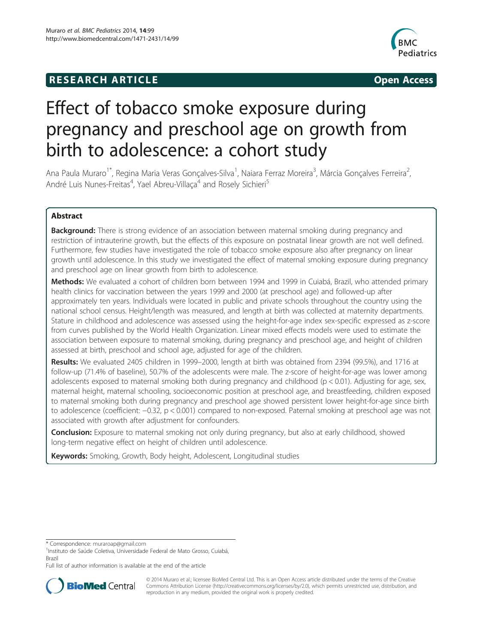# **RESEARCH ARTICLE Example 2014 The SEAR CH ACCESS**



# Effect of tobacco smoke exposure during pregnancy and preschool age on growth from birth to adolescence: a cohort study

Ana Paula Muraro<sup>1\*</sup>, Regina Maria Veras Gonçalves-Silva<sup>1</sup>, Naiara Ferraz Moreira<sup>3</sup>, Márcia Gonçalves Ferreira<sup>2</sup> , André Luis Nunes-Freitas<sup>4</sup>, Yael Abreu-Villaça<sup>4</sup> and Rosely Sichieri<sup>5</sup>

# Abstract

**Background:** There is strong evidence of an association between maternal smoking during pregnancy and restriction of intrauterine growth, but the effects of this exposure on postnatal linear growth are not well defined. Furthermore, few studies have investigated the role of tobacco smoke exposure also after pregnancy on linear growth until adolescence. In this study we investigated the effect of maternal smoking exposure during pregnancy and preschool age on linear growth from birth to adolescence.

Methods: We evaluated a cohort of children born between 1994 and 1999 in Cuiabá, Brazil, who attended primary health clinics for vaccination between the years 1999 and 2000 (at preschool age) and followed-up after approximately ten years. Individuals were located in public and private schools throughout the country using the national school census. Height/length was measured, and length at birth was collected at maternity departments. Stature in childhood and adolescence was assessed using the height-for-age index sex-specific expressed as z-score from curves published by the World Health Organization. Linear mixed effects models were used to estimate the association between exposure to maternal smoking, during pregnancy and preschool age, and height of children assessed at birth, preschool and school age, adjusted for age of the children.

Results: We evaluated 2405 children in 1999–2000, length at birth was obtained from 2394 (99.5%), and 1716 at follow-up (71.4% of baseline), 50.7% of the adolescents were male. The z-score of height-for-age was lower among adolescents exposed to maternal smoking both during pregnancy and childhood (p < 0.01). Adjusting for age, sex, maternal height, maternal schooling, socioeconomic position at preschool age, and breastfeeding, children exposed to maternal smoking both during pregnancy and preschool age showed persistent lower height-for-age since birth to adolescence (coefficient: −0.32, p < 0.001) compared to non-exposed. Paternal smoking at preschool age was not associated with growth after adjustment for confounders.

**Conclusion:** Exposure to maternal smoking not only during pregnancy, but also at early childhood, showed long-term negative effect on height of children until adolescence.

Keywords: Smoking, Growth, Body height, Adolescent, Longitudinal studies

\* Correspondence: [muraroap@gmail.com](mailto:muraroap@gmail.com) <sup>1</sup>

<sup>1</sup>Instituto de Saúde Coletiva, Universidade Federal de Mato Grosso, Cuiabá, Brazil

Full list of author information is available at the end of the article



© 2014 Muraro et al.; licensee BioMed Central Ltd. This is an Open Access article distributed under the terms of the Creative Commons Attribution License [\(http://creativecommons.org/licenses/by/2.0\)](http://creativecommons.org/licenses/by/2.0), which permits unrestricted use, distribution, and reproduction in any medium, provided the original work is properly credited.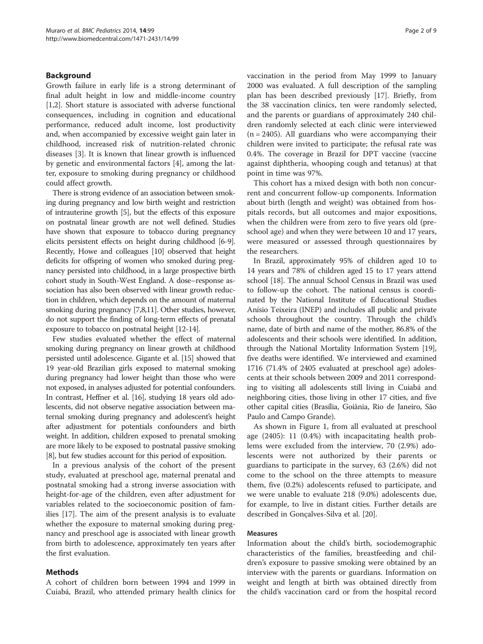### Background

Growth failure in early life is a strong determinant of final adult height in low and middle-income country [[1,2\]](#page-8-0). Short stature is associated with adverse functional consequences, including in cognition and educational performance, reduced adult income, lost productivity and, when accompanied by excessive weight gain later in childhood, increased risk of nutrition-related chronic diseases [[3\]](#page-8-0). It is known that linear growth is influenced by genetic and environmental factors [\[4](#page-8-0)], among the latter, exposure to smoking during pregnancy or childhood could affect growth.

There is strong evidence of an association between smoking during pregnancy and low birth weight and restriction of intrauterine growth [\[5\]](#page-8-0), but the effects of this exposure on postnatal linear growth are not well defined. Studies have shown that exposure to tobacco during pregnancy elicits persistent effects on height during childhood [[6](#page-8-0)-[9](#page-8-0)]. Recently, Howe and colleagues [\[10\]](#page-8-0) observed that height deficits for offspring of women who smoked during pregnancy persisted into childhood, in a large prospective birth cohort study in South-West England. A dose–response association has also been observed with linear growth reduction in children, which depends on the amount of maternal smoking during pregnancy [[7,8,11](#page-8-0)]. Other studies, however, do not support the finding of long-term effects of prenatal exposure to tobacco on postnatal height [[12](#page-8-0)-[14](#page-8-0)].

Few studies evaluated whether the effect of maternal smoking during pregnancy on linear growth at childhood persisted until adolescence. Gigante et al. [[15](#page-8-0)] showed that 19 year-old Brazilian girls exposed to maternal smoking during pregnancy had lower height than those who were not exposed, in analyses adjusted for potential confounders. In contrast, Heffner et al. [[16](#page-8-0)], studying 18 years old adolescents, did not observe negative association between maternal smoking during pregnancy and adolescent's height after adjustment for potentials confounders and birth weight. In addition, children exposed to prenatal smoking are more likely to be exposed to postnatal passive smoking [[8](#page-8-0)], but few studies account for this period of exposition.

In a previous analysis of the cohort of the present study, evaluated at preschool age, maternal prenatal and postnatal smoking had a strong inverse association with height-for-age of the children, even after adjustment for variables related to the socioeconomic position of families [[17](#page-8-0)]. The aim of the present analysis is to evaluate whether the exposure to maternal smoking during pregnancy and preschool age is associated with linear growth from birth to adolescence, approximately ten years after the first evaluation.

#### Methods

A cohort of children born between 1994 and 1999 in Cuiabá, Brazil, who attended primary health clinics for vaccination in the period from May 1999 to January 2000 was evaluated. A full description of the sampling plan has been described previously [[17\]](#page-8-0). Briefly, from the 38 vaccination clinics, ten were randomly selected, and the parents or guardians of approximately 240 children randomly selected at each clinic were interviewed  $(n = 2405)$ . All guardians who were accompanying their children were invited to participate; the refusal rate was 0.4%. The coverage in Brazil for DPT vaccine (vaccine against diphtheria, whooping cough and tetanus) at that point in time was 97%.

This cohort has a mixed design with both non concurrent and concurrent follow-up components. Information about birth (length and weight) was obtained from hospitals records, but all outcomes and major expositions, when the children were from zero to five years old (preschool age) and when they were between 10 and 17 years, were measured or assessed through questionnaires by the researchers.

In Brazil, approximately 95% of children aged 10 to 14 years and 78% of children aged 15 to 17 years attend school [[18](#page-8-0)]. The annual School Census in Brazil was used to follow-up the cohort. The national census is coordinated by the National Institute of Educational Studies Anísio Teixeira (INEP) and includes all public and private schools throughout the country. Through the child's name, date of birth and name of the mother, 86.8% of the adolescents and their schools were identified. In addition, through the National Mortality Information System [[19](#page-8-0)], five deaths were identified. We interviewed and examined 1716 (71.4% of 2405 evaluated at preschool age) adolescents at their schools between 2009 and 2011 corresponding to visiting all adolescents still living in Cuiabá and neighboring cities, those living in other 17 cities, and five other capital cities (Brasília, Goiânia, Rio de Janeiro, São Paulo and Campo Grande).

As shown in Figure [1](#page-2-0), from all evaluated at preschool age (2405): 11 (0.4%) with incapacitating health problems were excluded from the interview, 70 (2.9%) adolescents were not authorized by their parents or guardians to participate in the survey, 63 (2.6%) did not come to the school on the three attempts to measure them, five (0.2%) adolescents refused to participate, and we were unable to evaluate 218 (9.0%) adolescents due, for example, to live in distant cities. Further details are described in Gonçalves-Silva et al. [\[20](#page-8-0)].

#### Measures

Information about the child's birth, sociodemographic characteristics of the families, breastfeeding and children's exposure to passive smoking were obtained by an interview with the parents or guardians. Information on weight and length at birth was obtained directly from the child's vaccination card or from the hospital record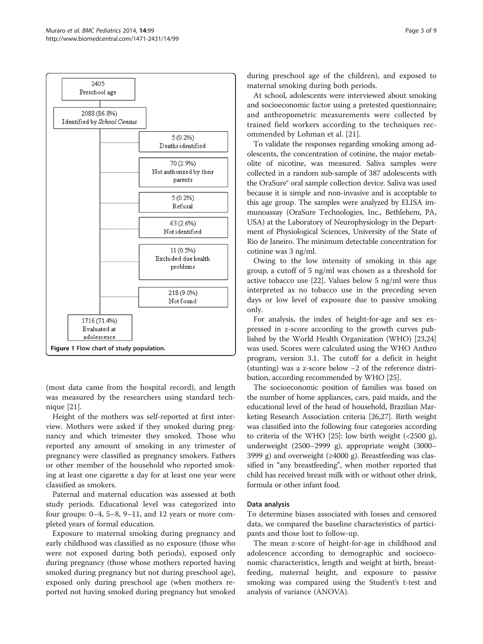

<span id="page-2-0"></span>

(most data came from the hospital record), and length was measured by the researchers using standard technique [[21\]](#page-8-0).

Height of the mothers was self-reported at first interview. Mothers were asked if they smoked during pregnancy and which trimester they smoked. Those who reported any amount of smoking in any trimester of pregnancy were classified as pregnancy smokers. Fathers or other member of the household who reported smoking at least one cigarette a day for at least one year were classified as smokers.

Paternal and maternal education was assessed at both study periods. Educational level was categorized into four groups: 0–4, 5–8, 9–11, and 12 years or more completed years of formal education.

Exposure to maternal smoking during pregnancy and early childhood was classified as no exposure (those who were not exposed during both periods), exposed only during pregnancy (those whose mothers reported having smoked during pregnancy but not during preschool age), exposed only during preschool age (when mothers reported not having smoked during pregnancy but smoked during preschool age of the children), and exposed to maternal smoking during both periods.

At school, adolescents were interviewed about smoking and socioeconomic factor using a pretested questionnaire; and anthropometric measurements were collected by trained field workers according to the techniques recommended by Lohman et al. [[21\]](#page-8-0).

To validate the responses regarding smoking among adolescents, the concentration of cotinine, the major metabolite of nicotine, was measured. Saliva samples were collected in a random sub-sample of 387 adolescents with the OraSure® oral sample collection device. Saliva was used because it is simple and non-invasive and is acceptable to this age group. The samples were analyzed by ELISA immunoassay (OraSure Technologies, Inc., Bethlehem, PA, USA) at the Laboratory of Neurophysiology in the Department of Physiological Sciences, University of the State of Rio de Janeiro. The minimum detectable concentration for cotinine was 3 ng/ml.

Owing to the low intensity of smoking in this age group, a cutoff of 5 ng/ml was chosen as a threshold for active tobacco use [[22](#page-8-0)]. Values below 5 ng/ml were thus interpreted as no tobacco use in the preceding seven days or low level of exposure due to passive smoking only.

For analysis, the index of height-for-age and sex expressed in z-score according to the growth curves published by the World Health Organization (WHO) [\[23,24](#page-8-0)] was used. Scores were calculated using the WHO Anthro program, version 3.1. The cutoff for a deficit in height (stunting) was a z-score below −2 of the reference distribution, according recommended by WHO [[25\]](#page-8-0).

The socioeconomic position of families was based on the number of home appliances, cars, paid maids, and the educational level of the head of household, Brazilian Marketing Research Association criteria [[26,27](#page-8-0)]. Birth weight was classified into the following four categories according to criteria of the WHO [[25](#page-8-0)]: low birth weight  $\left($  <2500 g), underweight (2500–2999 g), appropriate weight (3000– 3999 g) and overweight (≥4000 g). Breastfeeding was classified in "any breastfeeding", when mother reported that child has received breast milk with or without other drink, formula or other infant food.

# Data analysis

To determine biases associated with losses and censored data, we compared the baseline characteristics of participants and those lost to follow-up.

The mean z-score of height-for-age in childhood and adolescence according to demographic and socioeconomic characteristics, length and weight at birth, breastfeeding, maternal height, and exposure to passive smoking was compared using the Student's t-test and analysis of variance (ANOVA).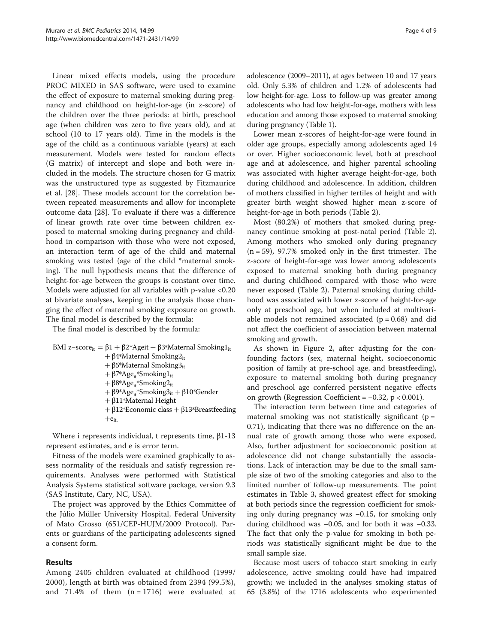Linear mixed effects models, using the procedure PROC MIXED in SAS software, were used to examine the effect of exposure to maternal smoking during pregnancy and childhood on height-for-age (in z-score) of the children over the three periods: at birth, preschool age (when children was zero to five years old), and at school (10 to 17 years old). Time in the models is the age of the child as a continuous variable (years) at each measurement. Models were tested for random effects (G matrix) of intercept and slope and both were included in the models. The structure chosen for G matrix was the unstructured type as suggested by Fitzmaurice et al. [\[28](#page-8-0)]. These models account for the correlation between repeated measurements and allow for incomplete outcome data [[28\]](#page-8-0). To evaluate if there was a difference of linear growth rate over time between children exposed to maternal smoking during pregnancy and childhood in comparison with those who were not exposed, an interaction term of age of the child and maternal smoking was tested (age of the child \*maternal smoking). The null hypothesis means that the difference of height-for-age between the groups is constant over time. Models were adjusted for all variables with p-value <0.20 at bivariate analyses, keeping in the analysis those changing the effect of maternal smoking exposure on growth. The final model is described by the formula:

The final model is described by the formula:

BMI z−score<sub>it</sub> = β1 + β2\*Ageit + β3\*Maternal Smoking1<sub>it</sub> + β4\*Maternal Smoking2<sub>it</sub> + β5\*Maternal Smoking3<sub>it</sub>  $+ \beta$ 7\*Age<sub>it</sub>\*Smoking1<sub>it</sub>  $+\beta$ 8\*Age<sub>it</sub>\*Smoking2<sub>it</sub> + β9\*Age<sub>it</sub>\*Smoking3<sub>it</sub> + β10\*Gender + β11\*Maternal Height + β12\*Economic class + β13\*Breastfeeding  $+e_{it.}$ 

Where i represents individual, t represents time, β1-13 represent estimates, and e is error term.

Fitness of the models were examined graphically to assess normality of the residuals and satisfy regression requirements. Analyses were performed with Statistical Analysis Systems statistical software package, version 9.3 (SAS Institute, Cary, NC, USA).

The project was approved by the Ethics Committee of the Júlio Müller University Hospital, Federal University of Mato Grosso (651/CEP-HUJM/2009 Protocol). Parents or guardians of the participating adolescents signed a consent form.

# Results

Among 2405 children evaluated at childhood (1999/ 2000), length at birth was obtained from 2394 (99.5%), and 71.4% of them  $(n = 1716)$  were evaluated at

adolescence (2009–2011), at ages between 10 and 17 years old. Only 5.3% of children and 1.2% of adolescents had low height-for-age. Loss to follow-up was greater among adolescents who had low height-for-age, mothers with less education and among those exposed to maternal smoking during pregnancy (Table [1\)](#page-4-0).

Lower mean z-scores of height-for-age were found in older age groups, especially among adolescents aged 14 or over. Higher socioeconomic level, both at preschool age and at adolescence, and higher parental schooling was associated with higher average height-for-age, both during childhood and adolescence. In addition, children of mothers classified in higher tertiles of height and with greater birth weight showed higher mean z-score of height-for-age in both periods (Table [2\)](#page-5-0).

Most (80.2%) of mothers that smoked during pregnancy continue smoking at post-natal period (Table [2](#page-5-0)). Among mothers who smoked only during pregnancy  $(n = 59)$ , 97.7% smoked only in the first trimester. The z-score of height-for-age was lower among adolescents exposed to maternal smoking both during pregnancy and during childhood compared with those who were never exposed (Table [2\)](#page-5-0). Paternal smoking during childhood was associated with lower z-score of height-for-age only at preschool age, but when included at multivariable models not remained associated  $(p = 0.68)$  and did not affect the coefficient of association between maternal smoking and growth.

As shown in Figure [2](#page-6-0), after adjusting for the confounding factors (sex, maternal height, socioeconomic position of family at pre-school age, and breastfeeding), exposure to maternal smoking both during pregnancy and preschool age conferred persistent negative effects on growth (Regression Coefficient =  $-0.32$ , p < 0.001).

The interaction term between time and categories of maternal smoking was not statistically significant ( $p =$ 0.71), indicating that there was no difference on the annual rate of growth among those who were exposed. Also, further adjustment for socioeconomic position at adolescence did not change substantially the associations. Lack of interaction may be due to the small sample size of two of the smoking categories and also to the limited number of follow-up measurements. The point estimates in Table [3](#page-6-0), showed greatest effect for smoking at both periods since the regression coefficient for smoking only during pregnancy was −0.15, for smoking only during childhood was −0.05, and for both it was −0.33. The fact that only the p-value for smoking in both periods was statistically significant might be due to the small sample size.

Because most users of tobacco start smoking in early adolescence, active smoking could have had impaired growth; we included in the analyses smoking status of 65 (3.8%) of the 1716 adolescents who experimented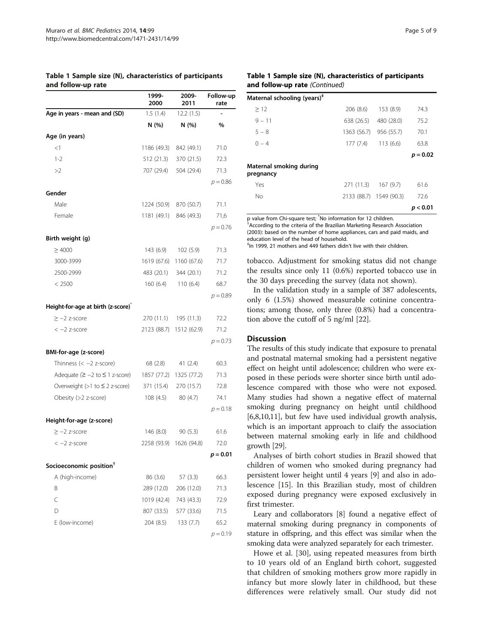|                                                   | 1999-       | 2009-                   | Follow-up  |
|---------------------------------------------------|-------------|-------------------------|------------|
|                                                   | 2000        | 2011                    | rate       |
| Age in years - mean and (SD)                      | 1.5(1.4)    | 12.2(1.5)               |            |
|                                                   | N (%)       | N (%)                   | %          |
| Age (in years)                                    |             |                         |            |
| $<$ 1                                             | 1186 (49.3) | 842 (49.1)              | 71.0       |
| $1 - 2$                                           | 512 (21.3)  | 370 (21.5)              | 72.3       |
| >2                                                | 707 (29.4)  | 504 (29.4)              | 71.3       |
|                                                   |             |                         | $p = 0.86$ |
| Gender                                            |             |                         |            |
| Male                                              | 1224 (50.9) | 870 (50.7)              | 71.1       |
| Female                                            | 1181 (49.1) | 846 (49.3)              | 71,6       |
|                                                   |             |                         | $p = 0.76$ |
| Birth weight (g)                                  |             |                         |            |
| $\geq 4000$                                       |             | 143 (6.9) 102 (5.9)     | 71.3       |
| 3000-3999                                         |             | 1619 (67.6) 1160 (67.6) | 71.7       |
| 2500-2999                                         | 483 (20.1)  | 344 (20.1)              | 71.2       |
| < 2500                                            | 160 (6.4)   | 110 $(6.4)$             | 68.7       |
|                                                   |             |                         | $p = 0.89$ |
| Height-for-age at birth (z-score)*                |             |                         |            |
| $\geq -2$ z-score                                 |             | 270 (11.1) 195 (11.3)   | 72.2       |
| $<-2$ z-score                                     |             | 2123 (88.7) 1512 (62.9) | 71.2       |
|                                                   |             |                         | $p = 0.73$ |
| BMI-for-age (z-score)                             |             |                         |            |
| Thinness $(< -2$ z-score)                         | 68 (2.8)    | 41 (2.4)                | 60.3       |
| Adequate $(2 - 2 \text{ to } 51 \text{ z-score})$ | 1857 (77.2) | 1325 (77.2)             | 71.3       |
| Overweight ( $>1$ to $\leq 2$ z-score)            | 371 (15.4)  | 270 (15.7)              | 72.8       |
| Obesity $(>2 z$ -score)                           | 108 (4.5)   | 80 (4.7)                | 74.1       |
|                                                   |             |                         | $p = 0.18$ |
| Height-for-age (z-score)                          |             |                         |            |
| $\geq$ -2 z-score                                 | 146 (8.0)   | 90(5.3)                 | 61.6       |
| $<-2$ z-score                                     |             | 2258 (93.9) 1626 (94.8) | 72.0       |
|                                                   |             |                         | $p = 0.01$ |
| Socioeconomic position <sup>+</sup>               |             |                         |            |
| A (high-income)                                   | 86 (3.6)    | 57(3.3)                 | 66.3       |
| B                                                 | 289 (12.0)  | 206 (12.0)              | 71.3       |
| C                                                 | 1019 (42.4) | 743 (43.3)              | 72.9       |
| D                                                 | 807 (33.5)  | 577 (33.6)              | 71.5       |
| E (low-income)                                    | 204 (8.5)   | 133(7.7)                | 65.2       |
|                                                   |             |                         | $n = 0.19$ |

#### <span id="page-4-0"></span>Table 1 Sample size (N), characteristics of participants and follow-up rate

# Table 1 Sample size (N), characteristics of participants and follow-up rate (Continued)

| Maternal schooling (years) <sup>#</sup> |             |                         |            |
|-----------------------------------------|-------------|-------------------------|------------|
| >12                                     | 206(8.6)    | 153 (8.9)               | 74.3       |
| $9 - 11$                                | 638 (26.5)  | 480 (28.0)              | 75.2       |
| $5 - 8$                                 | 1363 (56.7) | 956 (55.7)              | 70.1       |
| $0 - 4$                                 | 177 (7.4)   | 113(6.6)                | 63.8       |
|                                         |             |                         | $p = 0.02$ |
| Maternal smoking during<br>pregnancy    |             |                         |            |
| Yes                                     | 271 (11.3)  | 167(9.7)                | 61.6       |
| No                                      |             | 2133 (88.7) 1549 (90.3) | 72.6       |
|                                         |             |                         | p < 0.01   |

p value from Chi-square test; <sup>\*</sup>No information for 12 children.<br><sup>†</sup>According to the criteria of the Brazilian Marketing Pesearch According to the criteria of the Brazilian Marketing Research Association (2003): based on the number of home appliances, cars and paid maids, and education level of the head of household.

‡ In 1999, 21 mothers and 449 fathers didn't live with their children.

tobacco. Adjustment for smoking status did not change the results since only 11 (0.6%) reported tobacco use in the 30 days preceding the survey (data not shown).

In the validation study in a sample of 387 adolescents, only 6 (1.5%) showed measurable cotinine concentrations; among those, only three (0.8%) had a concentration above the cutoff of 5 ng/ml [\[22](#page-8-0)].

# **Discussion**

The results of this study indicate that exposure to prenatal and postnatal maternal smoking had a persistent negative effect on height until adolescence; children who were exposed in these periods were shorter since birth until adolescence compared with those who were not exposed. Many studies had shown a negative effect of maternal smoking during pregnancy on height until childhood [[6,8](#page-8-0),[10,11\]](#page-8-0), but few have used individual growth analysis, which is an important approach to claify the association between maternal smoking early in life and childhood growth [[29](#page-8-0)].

Analyses of birth cohort studies in Brazil showed that children of women who smoked during pregnancy had persistent lower height until 4 years [\[9\]](#page-8-0) and also in adolescence [\[15](#page-8-0)]. In this Brazilian study, most of children exposed during pregnancy were exposed exclusively in first trimester.

Leary and collaborators [[8\]](#page-8-0) found a negative effect of maternal smoking during pregnancy in components of stature in offspring, and this effect was similar when the smoking data were analyzed separately for each trimester.

Howe et al. [[30](#page-8-0)], using repeated measures from birth to 10 years old of an England birth cohort, suggested that children of smoking mothers grow more rapidly in infancy but more slowly later in childhood, but these differences were relatively small. Our study did not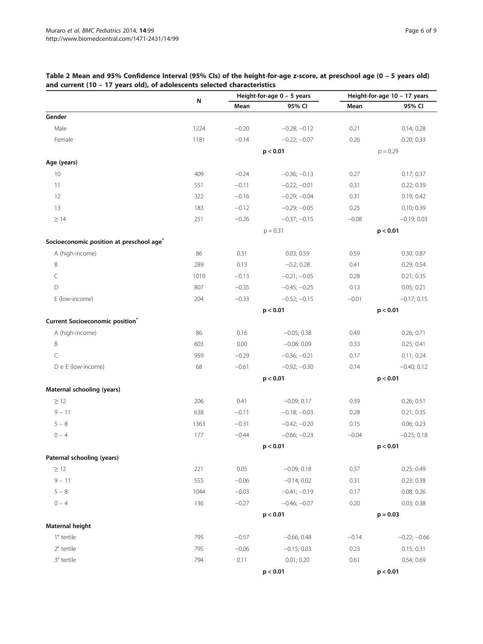|                                                      |      | Height-for-age $0 - 5$ years |                | Height-for-age 10 - 17 years |                |
|------------------------------------------------------|------|------------------------------|----------------|------------------------------|----------------|
|                                                      | N    | Mean                         | 95% CI         | Mean                         | 95% CI         |
| Gender                                               |      |                              |                |                              |                |
| Male                                                 | 1224 | $-0.20$                      | $-0.28; -0.12$ | 0.21                         | 0.14; 0.28     |
| Female                                               | 1181 | $-0.14$                      | $-0.22; -0.07$ | 0.26                         | 0.20; 0.33     |
|                                                      |      | p < 0.01                     |                | $p = 0.29$                   |                |
| Age (years)                                          |      |                              |                |                              |                |
| 10                                                   | 409  | $-0.24$                      | $-0.36; -0.13$ | 0.27                         | 0.17; 0.37     |
| 11                                                   | 551  | $-0.11$                      | $-0.22; -0.01$ | 0.31                         | 0.22; 0.39     |
| 12                                                   | 322  | $-0.16$                      | $-0.29; -0.04$ | 0.31                         | 0.19; 0.42     |
| 13                                                   | 183  | $-0.12$                      | $-0.29; -0.05$ | 0.25                         | 0.10; 0.39     |
| $\geq$ 14                                            | 251  | $-0.26$                      | $-0.37; -0.15$ | $-0.08$                      | $-0.19; 0.03$  |
|                                                      |      |                              | $p = 0.31$     |                              | p < 0.01       |
| Socioeconomic position at preschool age <sup>®</sup> |      |                              |                |                              |                |
| A (high-income)                                      | 86   | 0.31                         | 0.03; 0.59     | 0.59                         | 0.30; 0.87     |
| B                                                    | 289  | 0.13                         | $-0.2; 0.28$   | 0.41                         | 0.29; 0.54     |
| C                                                    | 1019 | $-0.13$                      | $-0.21; -0.05$ | 0.28                         | 0.21; 0.35     |
| D                                                    | 807  | $-0.35$                      | $-0.45; -0.25$ | 0.13                         | 0.05; 0.21     |
| E (low-income)                                       | 204  | $-0.33$                      | $-0.52; -0.15$ | $-0.01$                      | $-0.17; 0.15$  |
|                                                      |      |                              | p < 0.01       |                              | p < 0.01       |
| <b>Current Socioeconomic position</b> ®              |      |                              |                |                              |                |
| A (high-income)                                      | 86   | 0.16                         | $-0.05; 0.38$  | 0.49                         | 0.26; 0.71     |
| B                                                    | 603  | 0.00                         | $-0.08; 0.09$  | 0.33                         | 0.25; 0.41     |
| $\subset$                                            | 959  | $-0.29$                      | $-0.36; -0.21$ | 0.17                         | 0.11; 0.24     |
| D e E (low-income)                                   | 68   | $-0.61$                      | $-0.92; -0.30$ | 0.14                         | $-0.40; 0.12$  |
|                                                      |      |                              | p < 0.01       |                              | p < 0.01       |
| Maternal schooling (years)                           |      |                              |                |                              |                |
| $\geq$ 12                                            | 206  | 0.41                         | $-0.09; 0.17$  | 0.39                         | 0.26; 0.51     |
| $9 - 11$                                             | 638  | $-0.11$                      | $-0.18; -0.03$ | 0.28                         | 0.21; 0.35     |
| $5 - 8$                                              | 1363 | $-0.31$                      | $-0.42; -0.20$ | 0.15                         | 0.06; 0.23     |
| $0 - 4$                                              | 177  | $-0.44$                      | $-0.66; -0.23$ | $-0.04$                      | $-0.25; 0.18$  |
|                                                      |      | p < 0.01                     |                | p < 0.01                     |                |
| Paternal schooling (years)                           |      |                              |                |                              |                |
| $\geq$ 12                                            | 221  | 0.05                         | $-0.09; 0.18$  | 0.37                         | 0.25; 0.49     |
| $9 - 11$                                             | 555  | $-0.06$                      | $-0.14; 0.02$  | 0.31                         | 0.23; 0.38     |
| $5 - 8$                                              | 1044 | $-0.03$                      | $-0.41; -0.19$ | 0.17                         | 0.08; 0.26     |
| $0 - 4$                                              | 136  | $-0.27$                      | $-0.46; -0.07$ | 0.20                         | 0.03; 0.38     |
|                                                      |      |                              | p < 0.01       |                              | $p = 0.03$     |
| Maternal height                                      |      |                              |                |                              |                |
| 1° tertile                                           | 795  | $-0.57$                      | $-0.66; 0.48$  | $-0.14$                      | $-0.22; -0.66$ |
| 2° tertile                                           | 795  | $-0.06$                      | $-0.15; 0.03$  | 0.23                         | 0.15; 0.31     |
| 3° tertile                                           | 794  | 0.11                         | 0.01; 0.20     | 0.61                         | 0.54; 0.69     |
|                                                      |      |                              | p < 0.01       |                              | p < 0.01       |

# <span id="page-5-0"></span>Table 2 Mean and 95% Confidence Interval (95% CIs) of the height-for-age z-score, at preschool age (0 – 5 years old) and current (10 – 17 years old), of adolescents selected characteristics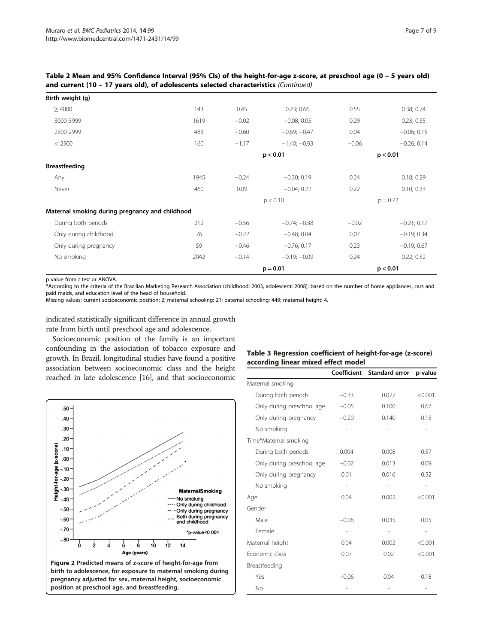| Birth weight (g)                                |      |            |                |         |               |
|-------------------------------------------------|------|------------|----------------|---------|---------------|
| $\geq 4000$                                     | 143  | 0.45       | 0.23; 0.66     | 0.55    | 0.38; 0.74    |
| 3000-3999                                       | 1619 | $-0.02$    | $-0.08; 0.05$  | 0.29    | 0.23; 0.35    |
| 2500-2999                                       | 483  | $-0.60$    | $-0.69; -0.47$ | 0.04    | $-0.06; 0.15$ |
| < 2500                                          | 160  | $-1.17$    | $-1.40; -0.93$ | $-0.06$ | $-0.26; 0.14$ |
|                                                 |      |            | p < 0.01       |         | p < 0.01      |
| <b>Breastfeeding</b>                            |      |            |                |         |               |
| Any                                             | 1945 | $-0,24$    | $-0.30; 0.19$  | 0.24    | 0.18; 0.29    |
| Never                                           | 460  | 0.09       | $-0.04; 0.22$  | 0.22    | 0.10; 0.33    |
|                                                 |      |            | p < 0.10       |         | $p = 0.72$    |
| Maternal smoking during pregnancy and childhood |      |            |                |         |               |
| During both periods                             | 212  | $-0.56$    | $-0.74; -0.38$ | $-0,02$ | $-0.21; 0.17$ |
| Only during childhood                           | 76   | $-0.22$    | $-0.48;0.04$   | 0,07    | $-0.19; 0.34$ |
| Only during pregnancy                           | 59   | $-0.46$    | $-0.76; 0.17$  | 0,23    | $-0.19; 0.67$ |
| No smoking                                      | 2042 | $-0.14$    | $-0.19; -0.09$ | 0,24    | 0.22; 0.32    |
|                                                 |      | $p = 0.01$ |                |         | p < 0.01      |

#### <span id="page-6-0"></span>Table 2 Mean and 95% Confidence Interval (95% CIs) of the height-for-age z-score, at preschool age (0 – 5 years old) and current (10 – 17 years old), of adolescents selected characteristics (Continued)

p value from t test or ANOVA.

\*According to the criteria of the Brazilian Marketing Research Association (childhood: 2003, adolescent: 2008): based on the number of home appliances, cars and paid maids, and education level of the head of household.

Missing values: current socioeconomic position: 2; maternal schooling: 21; paternal schooling: 449; maternal height: 4.

indicated statistically significant difference in annual growth rate from birth until preschool age and adolescence.

Socioeconomic position of the family is an important confounding in the association of tobacco exposure and growth. In Brazil, longitudinal studies have found a positive association between socioeconomic class and the height reached in late adolescence [\[16](#page-8-0)], and that socioeconomic



### Table 3 Regression coefficient of height-for-age (z-score) according linear mixed effect model

|                           | Coefficient    | Standard error | p-value |
|---------------------------|----------------|----------------|---------|
| Maternal smoking          |                |                |         |
| During both periods       | $-0.33$        | 0.077          | < 0.001 |
| Only during preschool age | $-0.05$        | 0.100          | 0.67    |
| Only during pregnancy     | $-0.20$        | 0.140          | 0.15    |
| No smoking                |                |                |         |
| Time*Maternal smoking     |                |                |         |
| During both periods       | 0.004          | 0.008          | 0.57    |
| Only during preschool age | $-0.02$        | 0.013          | 0.09    |
| Only during pregnancy     | 0.01           | 0.016          | 0.52    |
| No smoking                |                |                |         |
| Age                       | 0.04           | 0.002          | < 0.001 |
| Gender                    |                |                |         |
| Male                      | $-0.06$        | 0.035          | 0.05    |
| Female                    | $\overline{a}$ |                |         |
| Maternal height           | 0.04           | 0.002          | < 0.001 |
| Economic class            | 0.07           | 0.02           | < 0.001 |
| Breastfeeding             |                |                |         |
| Yes                       | $-0.06$        | 0.04           | 0.18    |
| No                        |                |                |         |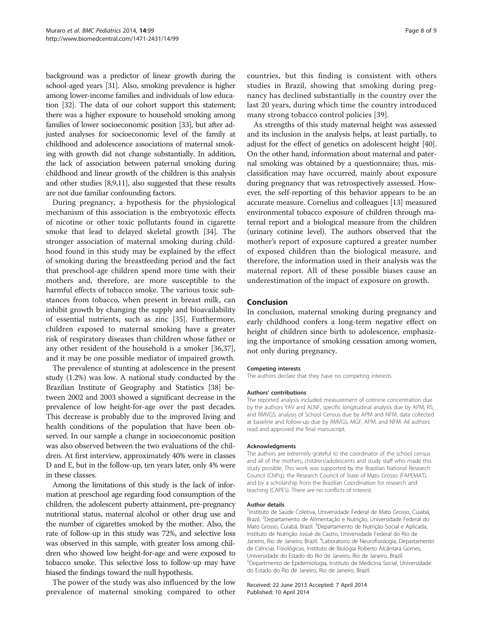background was a predictor of linear growth during the school-aged years [\[31](#page-8-0)]. Also, smoking prevalence is higher among lower-income families and individuals of low education [\[32\]](#page-8-0). The data of our cohort support this statement; there was a higher exposure to household smoking among families of lower socioeconomic position [[33](#page-8-0)], but after adjusted analyses for socioeconomic level of the family at childhood and adolescence associations of maternal smoking with growth did not change substantially. In addition, the lack of association between paternal smoking during childhood and linear growth of the children is this analysis and other studies [\[8,9,11\]](#page-8-0), also suggested that these results are not due familiar confounding factors.

During pregnancy, a hypothesis for the physiological mechanism of this association is the embryotoxic effects of nicotine or other toxic pollutants found in cigarette smoke that lead to delayed skeletal growth [[34\]](#page-8-0). The stronger association of maternal smoking during childhood found in this study may be explained by the effect of smoking during the breastfeeding period and the fact that preschool-age children spend more time with their mothers and, therefore, are more susceptible to the harmful effects of tobacco smoke. The various toxic substances from tobacco, when present in breast milk, can inhibit growth by changing the supply and bioavailability of essential nutrients, such as zinc [\[35\]](#page-8-0). Furthermore, children exposed to maternal smoking have a greater risk of respiratory diseases than children whose father or any other resident of the household is a smoker [\[36,37](#page-8-0)], and it may be one possible mediator of impaired growth.

The prevalence of stunting at adolescence in the present study (1.2%) was low. A national study conducted by the Brazilian Institute of Geography and Statistics [[38](#page-8-0)] between 2002 and 2003 showed a significant decrease in the prevalence of low height-for-age over the past decades. This decrease is probably due to the improved living and health conditions of the population that have been observed. In our sample a change in socioeconomic position was also observed between the two evaluations of the children. At first interview, approximately 40% were in classes D and E, but in the follow-up, ten years later, only 4% were in these classes.

Among the limitations of this study is the lack of information at preschool age regarding food consumption of the children, the adolescent puberty attainment, pre-pregnancy nutritional status, maternal alcohol or other drug use and the number of cigarettes smoked by the mother. Also, the rate of follow-up in this study was 72%, and selective loss was observed in this sample, with greater loss among children who showed low height-for-age and were exposed to tobacco smoke. This selective loss to follow-up may have biased the findings toward the null hypothesis.

The power of the study was also influenced by the low prevalence of maternal smoking compared to other countries, but this finding is consistent with others studies in Brazil, showing that smoking during pregnancy has declined substantially in the country over the last 20 years, during which time the country introduced many strong tobacco control policies [\[39](#page-8-0)].

As strengths of this study maternal height was assessed and its inclusion in the analysis helps, at least partially, to adjust for the effect of genetics on adolescent height [[40](#page-8-0)]. On the other hand, information about maternal and paternal smoking was obtained by a questionnaire; thus, misclassification may have occurred, mainly about exposure during pregnancy that was retrospectively assessed. However, the self-reporting of this behavior appears to be an accurate measure. Cornelius and colleagues [\[13\]](#page-8-0) measured environmental tobacco exposure of children through maternal report and a biological measure from the children (urinary cotinine level). The authors observed that the mother's report of exposure captured a greater number of exposed children than the biological measure, and therefore, the information used in their analysis was the maternal report. All of these possible biases cause an underestimation of the impact of exposure on growth.

#### Conclusion

In conclusion, maternal smoking during pregnancy and early childhood confers a long-term negative effect on height of children since birth to adolescence, emphasizing the importance of smoking cessation among women, not only during pregnancy.

#### Competing interests

The authors declare that they have no competing interests

#### Authors' contributions

The reported analysis included measurement of cotinine concentration due by the authors YAV and ALNF, specific longitudinal analysis due by APM, RS, and RMVGS, analysis of School Census due by APM and NFM, data collected at baseline and follow-up due by RMVGS, MGF, APM, and NFM. All authors read and approved the final manuscript.

#### Acknowledgments

The authors are extremely grateful to the coordinator of the school census and all of the mothers, children/adolescents and study staff who made this study possible. This work was supported by the Brazilian National Research Council (CNPq), the Research Council of State of Mato Grosso (FAPEMAT), and by a scholarship from the Brazilian Coordination for research and teaching (CAPES). There are no conflicts of interest.

#### Author details

<sup>1</sup>Instituto de Saúde Coletiva, Universidade Federal de Mato Grosso, Cuiabá Brazil. <sup>2</sup> Departamento de Alimentação e Nutrição, Universidade Federal do Mato Grosso, Cuiabá, Brazil. <sup>3</sup>Departamento de Nutrição Social e Aplicada Instituto de Nutrição Josué de Castro, Universidade Federal do Rio de Janeiro, Rio de Janeiro, Brazil. <sup>4</sup> Laboratorio de Neurofisiologia, Departamento de Ciências Fisiológicas, Instituto de Biologia Roberto Alcântara Gomes, Universidade do Estado do Rio de Janeiro, Rio de Janeiro, Brazil. 5 Departmento de Epidemiologia, Instituto de Medicina Social, Universidade do Estado do Rio de Janeiro, Rio de Janeiro, Brazil.

#### Received: 22 June 2013 Accepted: 7 April 2014 Published: 10 April 2014